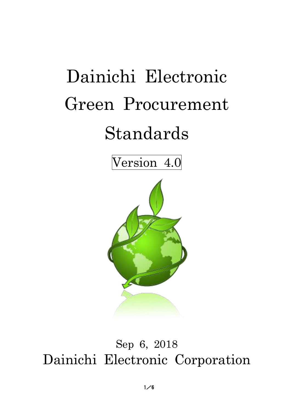# Dainichi Electronic Green Procurement Standards

Version 4.0



## Sep 6, 2018 Dainichi Electronic Corporation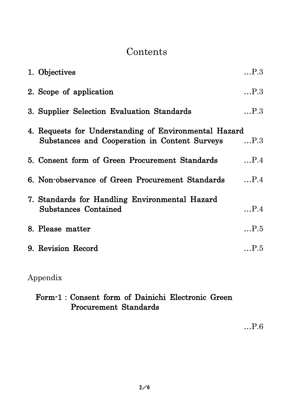## **Contents**

| 1. Objectives                                                                                              | P.3          |
|------------------------------------------------------------------------------------------------------------|--------------|
| 2. Scope of application                                                                                    | P.3          |
| 3. Supplier Selection Evaluation Standards                                                                 | P.3          |
| 4. Requests for Understanding of Environmental Hazard<br>Substances and Cooperation in Content Surveys P.3 |              |
| 5. Consent form of Green Procurement Standards                                                             | P.4          |
| 6. Non-observance of Green Procurement Standards                                                           | P.4          |
| 7. Standards for Handling Environmental Hazard<br><b>Substances Contained</b>                              | $\ldots$ P.4 |
| 8. Please matter                                                                                           | P.5          |
| 9. Revision Record                                                                                         | $\ldots$ P.5 |

## Appendix

### Form-1:Consent form of Dainichi Electronic Green Procurement Standards

…P.6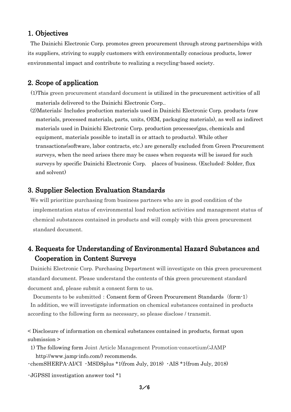#### 1. Objectives

The Dainichi Electronic Corp. promotes green procurement through strong partnerships with its suppliers, striving to supply customers with environmentally conscious products, lower environmental impact and contribute to realizing a recycling-based society.

#### 2. Scope of application

- (1)This green procurement standard document is utilized in the procurement activities of all materials delivered to the Dainichi Electronic Corp..
- (2)Materials: Includes production materials used in Dainichi Electronic Corp. products (raw materials, processed materials, parts, units, OEM, packaging materials), as well as indirect materials used in Dainichi Electronic Corp. production processes(gas, chemicals and equipment, materials possible to install in or attach to products). While other transactions(software, labor contracts, etc.) are generally excluded from Green Procurement surveys, when the need arises there may be cases when requests will be issued for such surveys by specific Dainichi Electronic Corp. places of business. (Excluded: Solder, flux and solvent)

#### 3. Supplier Selection Evaluation Standards

We will prioritize purchasing from business partners who are in good condition of the implementation status of environmental load reduction activities and management status of chemical substances contained in products and will comply with this green procurement standard document.

#### 4. Requests for Understanding of Environmental Hazard Substances and Cooperation in Content Surveys

Dainichi Electronic Corp. Purchasing Department will investigate on this green procurement standard document. Please understand the contents of this green procurement standard document and, please submit a consent form to us.

Documents to be submitted: Consent form of Green Procurement Standards (form-1) In addition, we will investigate information on chemical substances contained in products according to the following form as necessary, so please disclose / transmit.

< Disclosure of information on chemical substances contained in products, format upon submission >

1) The following form Joint Article Management Promotion-consortium(;JAMP http://www.jamp-info.com/) recommends.

・chemSHERPA-AI/CI ・MSDSplus \*1(from July, 2018) ・AIS \*1(from July, 2018)

・JGPSSI investigation answer tool \*1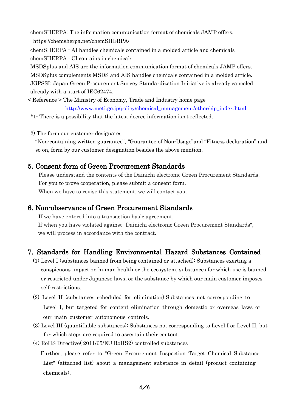chemSHERPA: The information communication format of chemicals JAMP offers. https://chemsherpa.net/chemSHERPA/

chemSHERPA - AI handles chemicals contained in a molded article and chemicals chemSHERPA - CI contains in chemicals.

MSDSplus and AIS are the information communication format of chemicals JAMP offers. MSDSplus complements MSDS and AIS handles chemicals contained in a molded article. JGPSSI: Japan Green Procurement Survey Standardization Initiative is already canceled already with a start of IEC62474.

< Reference > The Ministry of Economy, Trade and Industry home page [http://www.meti.go.jp/policy/chemical\\_management/other/cip\\_index.html](http://www.meti.go.jp/policy/chemical_management/other/cip_index.html)

\*1- There is a possibility that the latest decree information isn't reflected.

2) The form our customer designates

"Non-containing written guarantee", "Guarantee of Non-Usage"and "Fitness declaration" and so on, form by our customer designation besides the above mention.

#### 5. Consent form of Green Procurement Standards

 Please understand the contents of the Dainichi electronic Green Procurement Standards. For you to prove cooperation, please submit a consent form. When we have to revise this statement, we will contact you.

#### 6. Non-observance of Green Procurement Standards

If we have entered into a transaction basic agreement, If when you have violated against "Dainichi electronic Green Procurement Standards", we will process in accordance with the contract.

#### 7. Standards for Handling Environmental Hazard Substances Contained

- (1) Level I (substances banned from being contained or attached): Substances exerting a conspicuous impact on human health or the ecosystem, substances for which use is banned or restricted under Japanese laws, or the substance by which our main customer imposes self-restrictions.
- (2) Level II (substances scheduled for elimination):Substances not corresponding to Level I, but targeted for content elimination through domestic or overseas laws or our main customer autonomous controls.
- (3) Level III (quantifiable substances): Substances not corresponding to Level I or Level II, but for which steps are required to ascertain their content.
- (4) RoHS Directive( 2011/65/EU:RoHS2) controlled substances

Further, please refer to "Green Procurement Inspection Target Chemical Substance List" (attached list) about a management substance in detail (product containing chemicals).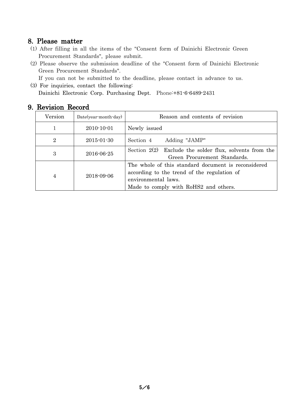#### 8. Please matter

- (1) After filling in all the items of the "Consent form of Dainichi Electronic Green Procurement Standards", please submit.
- (2) Please observe the submission deadline of the "Consent form of Dainichi Electronic Green Procurement Standards".

If you can not be submitted to the deadline, please contact in advance to us.

(3) For inquiries, contact the following: Dainichi Electronic Corp. Purchasing Dept. Phone:+81-6-6489-2431

| Version        | $Date(year-month-day)$ | Reason and contents of revision                                                                                                                                    |
|----------------|------------------------|--------------------------------------------------------------------------------------------------------------------------------------------------------------------|
|                | $2010 - 10 - 01$       | Newly issued                                                                                                                                                       |
| $\overline{2}$ | $2015 - 01 - 30$       | Adding "JAMP"<br>Section 4                                                                                                                                         |
| 3              | $2016 - 06 - 25$       | Section $2(2)$ Exclude the solder flux, solvents from the<br>Green Procurement Standards.                                                                          |
| 4              | 2018-09-06             | The whole of this standard document is reconsidered<br>according to the trend of the regulation of<br>environmental laws.<br>Made to comply with RoHS2 and others. |

#### 9. Revision Record